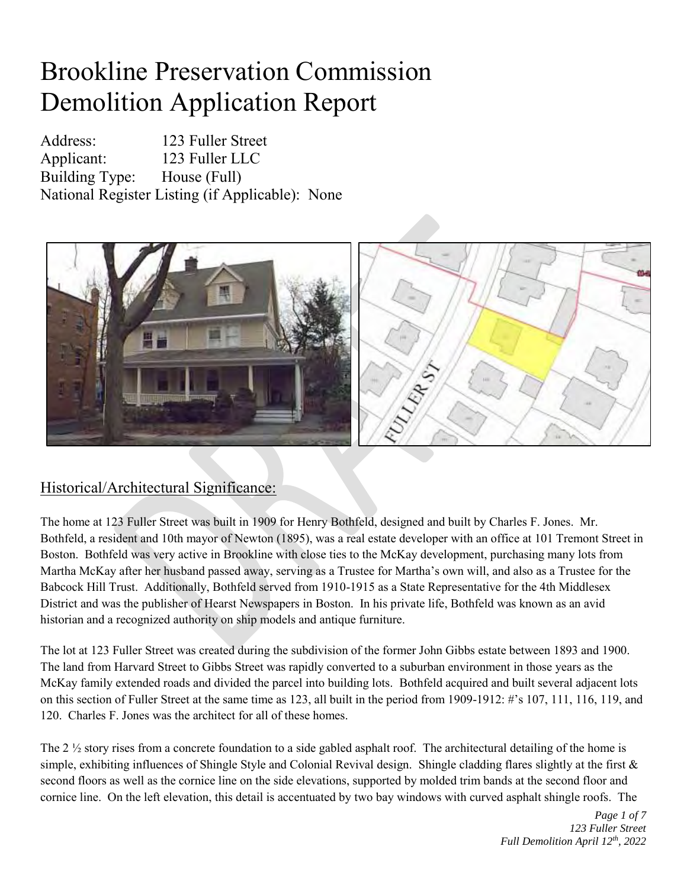## Brookline Preservation Commission Demolition Application Report

Address: 123 Fuller Street Applicant: 123 Fuller LLC Building Type: House (Full) National Register Listing (if Applicable): None



## Historical/Architectural Significance:

The home at 123 Fuller Street was built in 1909 for Henry Bothfeld, designed and built by Charles F. Jones. Mr. Bothfeld, a resident and 10th mayor of Newton (1895), was a real estate developer with an office at 101 Tremont Street in Boston. Bothfeld was very active in Brookline with close ties to the McKay development, purchasing many lots from Martha McKay after her husband passed away, serving as a Trustee for Martha's own will, and also as a Trustee for the Babcock Hill Trust. Additionally, Bothfeld served from 1910-1915 as a State Representative for the 4th Middlesex District and was the publisher of Hearst Newspapers in Boston. In his private life, Bothfeld was known as an avid historian and a recognized authority on ship models and antique furniture.

The lot at 123 Fuller Street was created during the subdivision of the former John Gibbs estate between 1893 and 1900. The land from Harvard Street to Gibbs Street was rapidly converted to a suburban environment in those years as the McKay family extended roads and divided the parcel into building lots. Bothfeld acquired and built several adjacent lots on this section of Fuller Street at the same time as 123, all built in the period from 1909-1912: #'s 107, 111, 116, 119, and 120. Charles F. Jones was the architect for all of these homes.

The 2  $\frac{1}{2}$  story rises from a concrete foundation to a side gabled asphalt roof. The architectural detailing of the home is simple, exhibiting influences of Shingle Style and Colonial Revival design. Shingle cladding flares slightly at the first & second floors as well as the cornice line on the side elevations, supported by molded trim bands at the second floor and cornice line. On the left elevation, this detail is accentuated by two bay windows with curved asphalt shingle roofs. The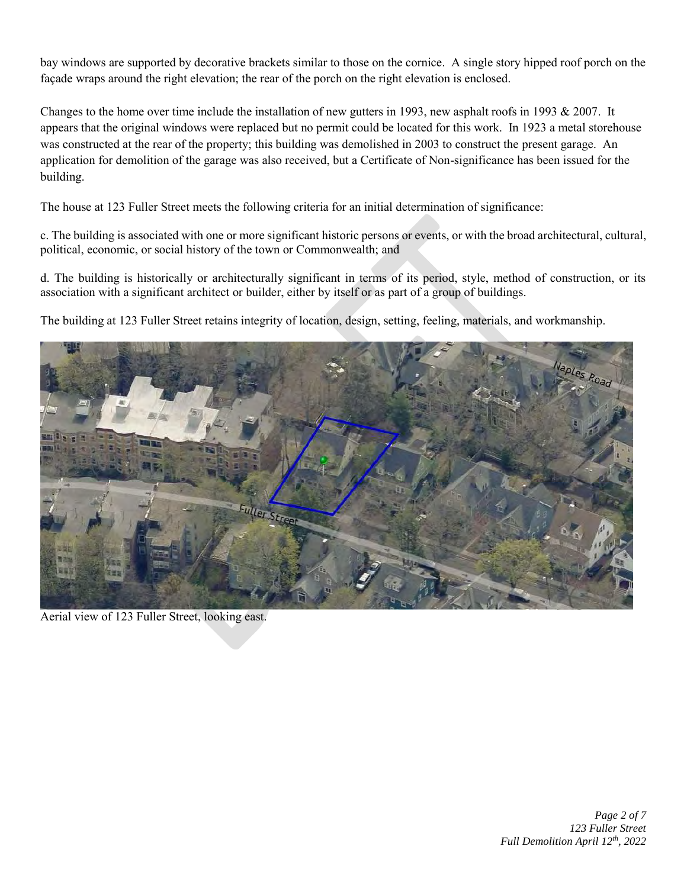bay windows are supported by decorative brackets similar to those on the cornice. A single story hipped roof porch on the façade wraps around the right elevation; the rear of the porch on the right elevation is enclosed.

Changes to the home over time include the installation of new gutters in 1993, new asphalt roofs in 1993 & 2007. It appears that the original windows were replaced but no permit could be located for this work. In 1923 a metal storehouse was constructed at the rear of the property; this building was demolished in 2003 to construct the present garage. An application for demolition of the garage was also received, but a Certificate of Non-significance has been issued for the building.

The house at 123 Fuller Street meets the following criteria for an initial determination of significance:

c. The building is associated with one or more significant historic persons or events, or with the broad architectural, cultural, political, economic, or social history of the town or Commonwealth; and

d. The building is historically or architecturally significant in terms of its period, style, method of construction, or its association with a significant architect or builder, either by itself or as part of a group of buildings.

The building at 123 Fuller Street retains integrity of location, design, setting, feeling, materials, and workmanship.



Aerial view of 123 Fuller Street, looking east.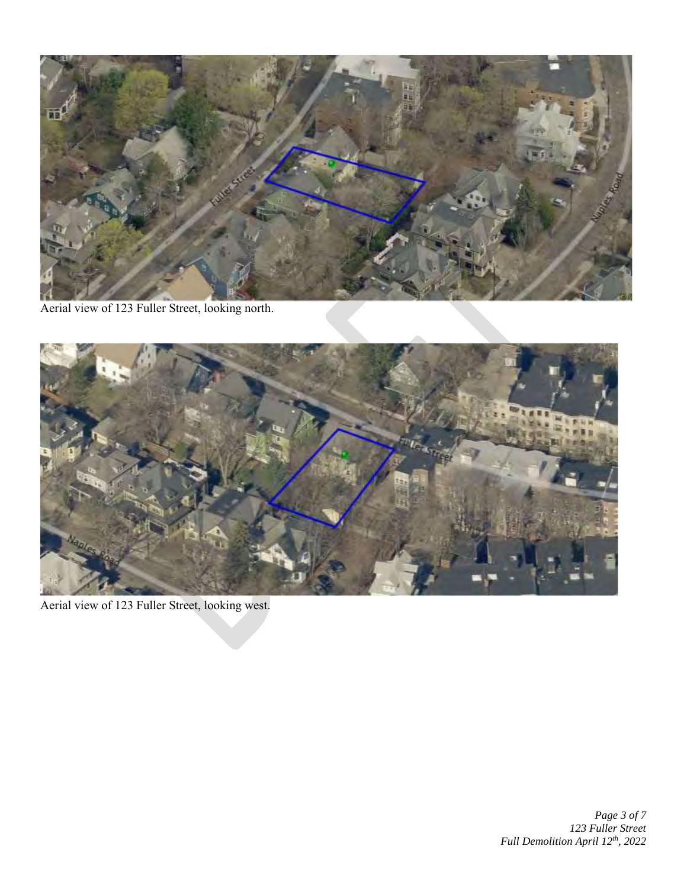

Aerial view of 123 Fuller Street, looking north.



Aerial view of 123 Fuller Street, looking west.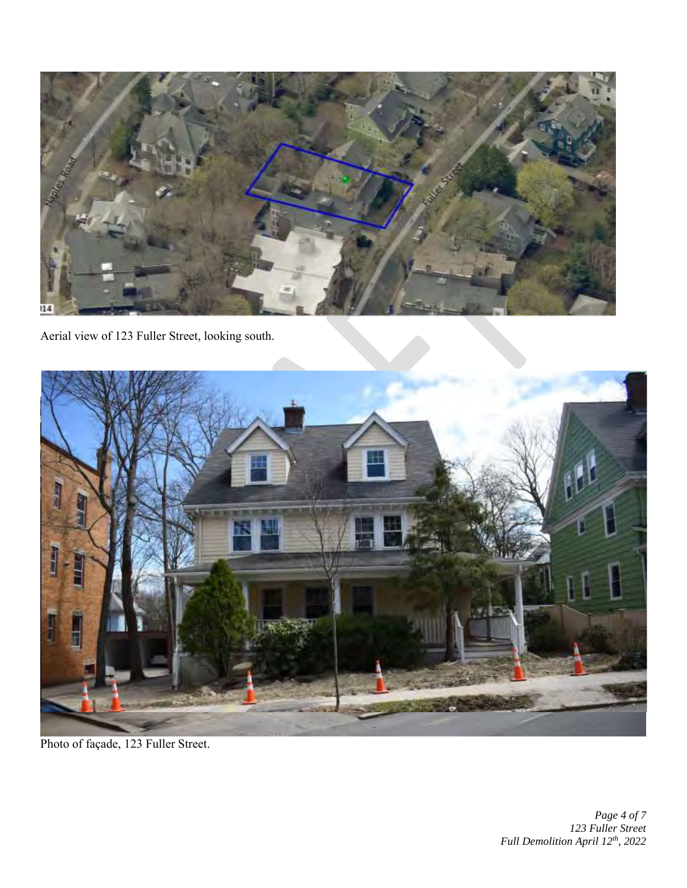

Aerial view of 123 Fuller Street, looking south.



Photo of façade, 123 Fuller Street.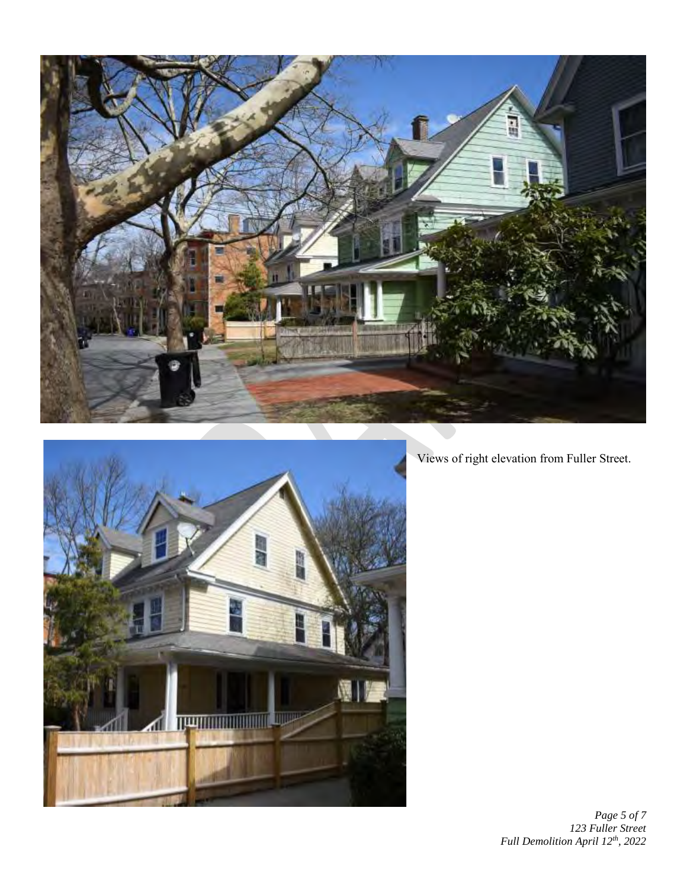



Views of right elevation from Fuller Street.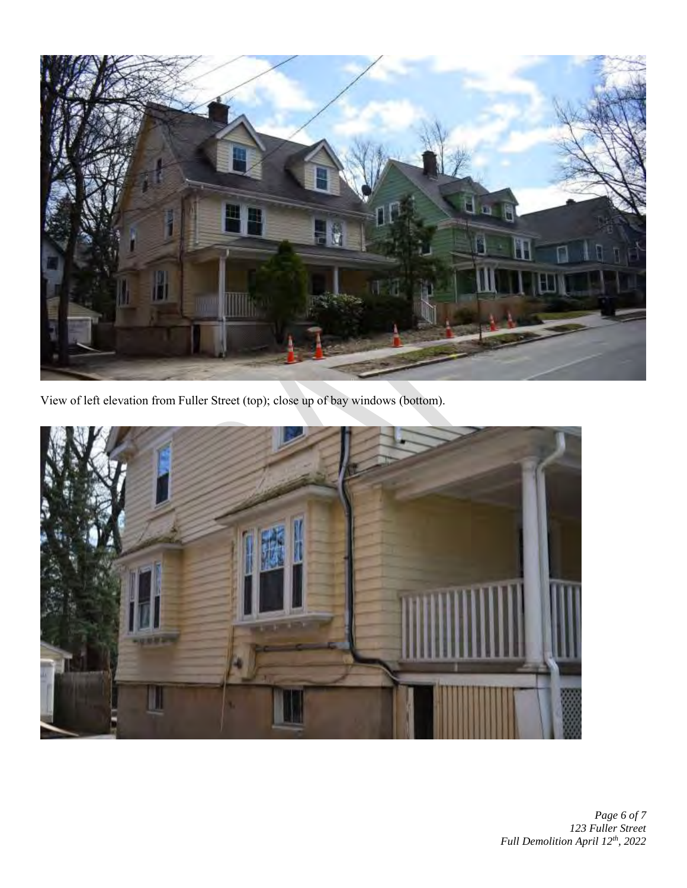

View of left elevation from Fuller Street (top); close up of bay windows (bottom).